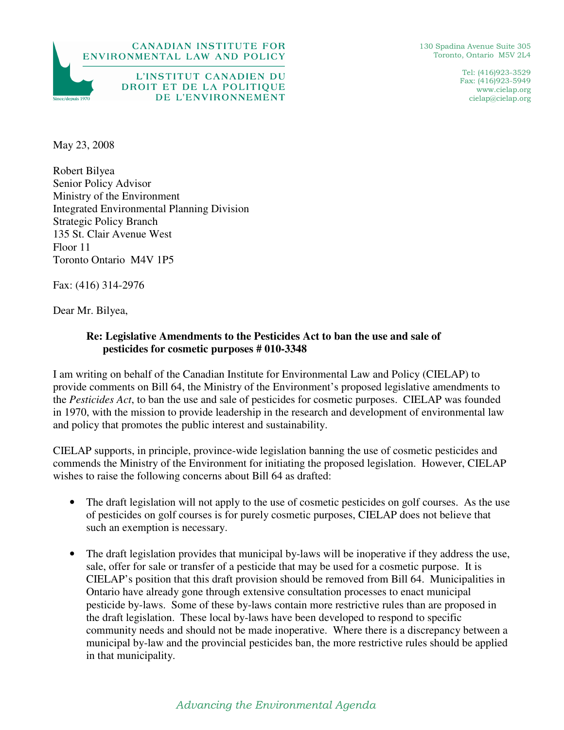



Tel: (416)923-3529 Fax: (416)923-5949 www.cielap.org cielap@cielap.org

L'INSTITUT CANADIEN DU DROIT ET DE LA POLITIQUE DE L'ENVIRONNEMENT

May 23, 2008

Since/denuis 1970

Robert Bilyea Senior Policy Advisor Ministry of the Environment Integrated Environmental Planning Division Strategic Policy Branch 135 St. Clair Avenue West Floor 11 Toronto Ontario M4V 1P5

Fax: (416) 314-2976

Dear Mr. Bilyea,

## **Re: Legislative Amendments to the Pesticides Act to ban the use and sale of pesticides for cosmetic purposes # 010-3348**

I am writing on behalf of the Canadian Institute for Environmental Law and Policy (CIELAP) to provide comments on Bill 64, the Ministry of the Environment's proposed legislative amendments to the *Pesticides Act*, to ban the use and sale of pesticides for cosmetic purposes. CIELAP was founded in 1970, with the mission to provide leadership in the research and development of environmental law and policy that promotes the public interest and sustainability.

CIELAP supports, in principle, province-wide legislation banning the use of cosmetic pesticides and commends the Ministry of the Environment for initiating the proposed legislation. However, CIELAP wishes to raise the following concerns about Bill 64 as drafted:

- The draft legislation will not apply to the use of cosmetic pesticides on golf courses. As the use of pesticides on golf courses is for purely cosmetic purposes, CIELAP does not believe that such an exemption is necessary.
- The draft legislation provides that municipal by-laws will be inoperative if they address the use, sale, offer for sale or transfer of a pesticide that may be used for a cosmetic purpose. It is CIELAP's position that this draft provision should be removed from Bill 64. Municipalities in Ontario have already gone through extensive consultation processes to enact municipal pesticide by-laws. Some of these by-laws contain more restrictive rules than are proposed in the draft legislation. These local by-laws have been developed to respond to specific community needs and should not be made inoperative. Where there is a discrepancy between a municipal by-law and the provincial pesticides ban, the more restrictive rules should be applied in that municipality.

## Advancing the Environmental Agenda